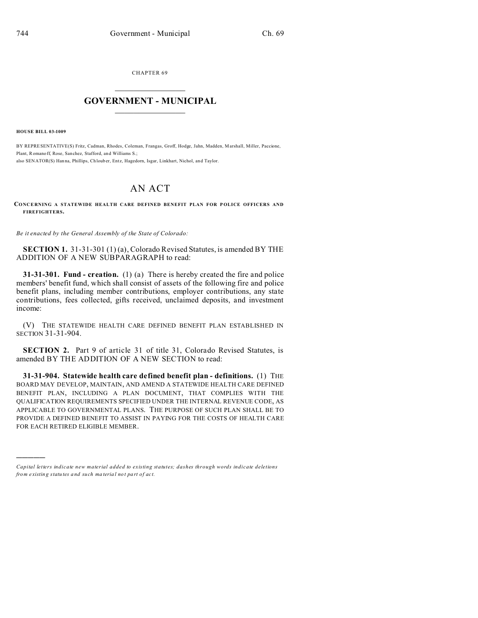CHAPTER 69  $\overline{\phantom{a}}$  , where  $\overline{\phantom{a}}$ 

## **GOVERNMENT - MUNICIPAL**  $\_$   $\_$

**HOUSE BILL 03-1009**

)))))

BY REPRESENTATIVE(S) Fritz, Cadman, Rhodes, Coleman, Frangas, Groff, Hodge, Jahn, Madden, Marshall, Miller, Paccione, Plant, Romanoff, Rose, Sanchez, Stafford, and Williams S.; also SENATOR(S) Hanna, Phillips, Ch loub er, Entz, Hagedorn, Isgar, Linkhart, Nichol, and Taylor.

## AN ACT

## **CONCERNING A STATEWIDE HEALTH CARE DEFINED BENEFIT PLAN FOR P OLICE OFFICERS AND FIREFIGHTERS.**

*Be it enacted by the General Assembly of the State of Colorado:*

**SECTION 1.** 31-31-301 (1) (a), Colorado Revised Statutes, is amended BY THE ADDITION OF A NEW SUBPARAGRAPH to read:

**31-31-301. Fund - creation.** (1) (a) There is hereby created the fire and police members' benefit fund, which shall consist of assets of the following fire and police benefit plans, including member contributions, employer contributions, any state contributions, fees collected, gifts received, unclaimed deposits, and investment income:

(V) THE STATEWIDE HEALTH CARE DEFINED BENEFIT PLAN ESTABLISHED IN SECTION 31-31-904.

**SECTION 2.** Part 9 of article 31 of title 31, Colorado Revised Statutes, is amended BY THE ADDITION OF A NEW SECTION to read:

**31-31-904. Statewide health care defined benefit plan - definitions.** (1) THE BOARD MAY DEVELOP, MAINTAIN, AND AMEND A STATEWIDE HEALTH CARE DEFINED BENEFIT PLAN, INCLUDING A PLAN DOCUMENT, THAT COMPLIES WITH THE QUALIFICATION REQUIREMENTS SPECIFIED UNDER THE INTERNAL REVENUE CODE, AS APPLICABLE TO GOVERNMENTAL PLANS. THE PURPOSE OF SUCH PLAN SHALL BE TO PROVIDE A DEFINED BENEFIT TO ASSIST IN PAYING FOR THE COSTS OF HEALTH CARE FOR EACH RETIRED ELIGIBLE MEMBER.

*Capital letters indicate new material added to existing statutes; dashes through words indicate deletions from e xistin g statu tes a nd such ma teria l no t pa rt of ac t.*